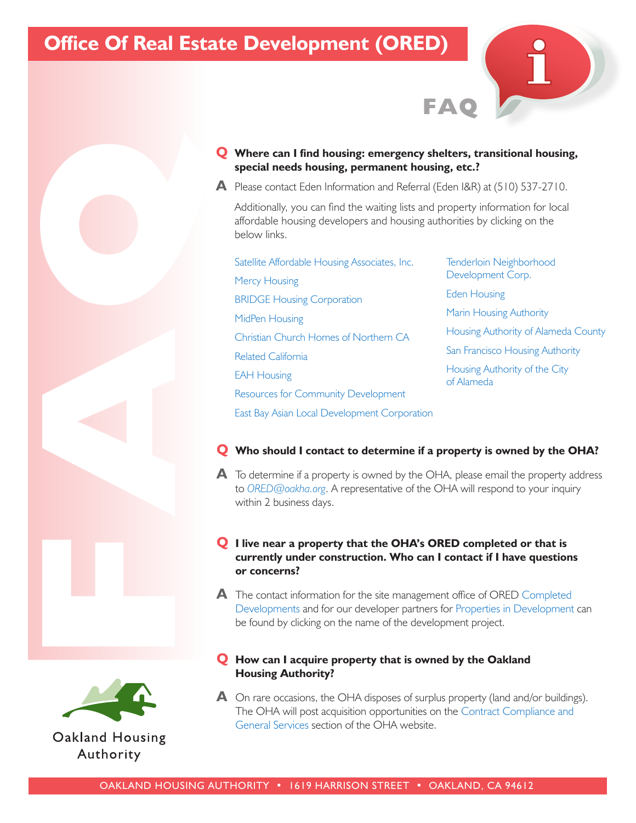# **[Office Of Real Estate Development](http://fuseideas.oakha.org/OHADepartments/Real-Estate-Development/Pages/default.aspx) (ORED)**

**Q Where can I find housing: emergency shelters, transitional housing, special needs housing, permanent housing, etc.?**

**FAQ**

**A** Please contact [Eden Information and Referral](http://www.211alamedacounty.org/) (Eden I&R) at (510) 537-2710.

Additionally, you can find the waiting lists and property information for local affordable housing developers and housing authorities by clicking on the below links.

- [Satellite Affordable Housing Associates, Inc.](http://www.sahahomes.org/)  [Mercy Housing](https://www.mercyhousing.org/california) [BRIDGE Housing Corporation](http://www.bridgehousing.com/)  [MidPen Housing](http://www.midpen-housing.org/) [Christian Church Homes of Northern CA](http://www.cchnc.org/) [Related California](http://www.relatedcalifornia.com/OurCompany/) [EAH Housing](http://www.eahhousing.org/) [Resources for Community Development](http://www.rcdev.org/) [East Bay Asian Local Development Corporation](http://www.ebaldc.org/) **Q** Where can I find housing emergency shelters, transitional<br>
A state contact described monitor and Webrail (200184)  $\theta$  - Alternal (200184) with environment in our frequency in the monitor of  $\theta$  of  $\theta$  and  $\theta$  of
	- [Tenderloin Neighborhood](http://www.tndc.org/)  Development Corp. [Eden Housing](http://www.edenhousing.org/) [Marin Housing Authority](http://www.marinhousing.org/) [Housing Authority of Alameda County](http://www.haca.net/) [San Francisco Housing Authority](http://www.sfha.org/) [Housing Authority of the City](http://www.alamedahsg.org/) of Alameda

#### **Q Who should I contact to determine if a property is owned by the OHA?**

**A** To determine if a property is owned by the OHA, please email the property address to *ORED@oakha.org*. A representative of the OHA will respond to your inquiry within 2 business days.

# **Q I live near a property that the OHA's ORED completed or that is currently under construction. Who can I contact if I have questions or concerns?**

**A** [The contact information for the site management office of ORED Completed](http://fuseideas.oakha.org/OHADepartments/Real-Estate-Development/Real-Estate-Developement-Projects/Pages/default.aspx)  Developments and for our developer partners for [Properties in Development](http://fuseideas.oakha.org/OHADepartments/Real-Estate-Development/Real-Estate-Developement-Projects/Pages/default.aspx) can be found by clicking on the name of the development project.

### **Q How can I acquire property that is owned by the Oakland Housing Authority?**

**A** On rare occasions, the OHA disposes of surplus property (land and/or buildings). [The OHA will post acquisition opportunities on the Contract Compliance and](http://fuseideas.oakha.org/WorkingOHA/Pages/default.aspx)  General Services section of the OHA website.

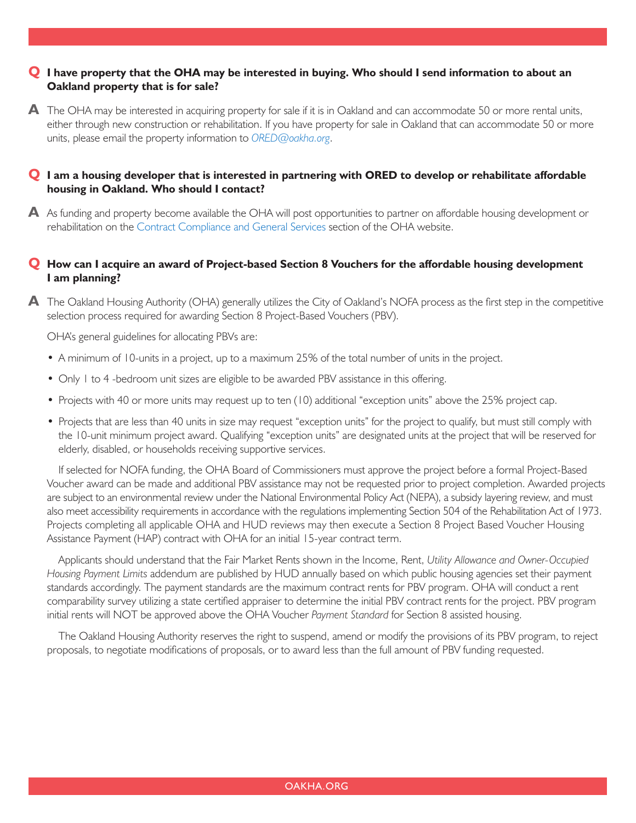# **Q I have property that the OHA may be interested in buying. Who should I send information to about an Oakland property that is for sale?**

**A** The OHA may be interested in acquiring property for sale if it is in Oakland and can accommodate 50 or more rental units, either through new construction or rehabilitation. If you have property for sale in Oakland that can accommodate 50 or more units, please email the property information to *ORED@oakha.org*.

## **Q I am a housing developer that is interested in partnering with ORED to develop or rehabilitate affordable housing in Oakland. Who should I contact?**

**A** As funding and property become available the OHA will post opportunities to partner on affordable housing development or rehabilitation on the [Contract Compliance and General Services](http://fuseideas.oakha.org/WorkingOHA/Pages/default.aspx) section of the OHA website.

# **Q How can I acquire an award of Project-based Section 8 Vouchers for the affordable housing development I am planning?**

**A** The Oakland Housing Authority (OHA) generally utilizes the City of Oakland's NOFA process as the first step in the competitive selection process required for awarding Section 8 Project-Based Vouchers (PBV).

OHA's general guidelines for allocating PBVs are:

- A minimum of 10-units in a project, up to a maximum 25% of the total number of units in the project.
- Only 1 to 4 -bedroom unit sizes are eligible to be awarded PBV assistance in this offering.
- Projects with 40 or more units may request up to ten (10) additional "exception units" above the 25% project cap.
- Projects that are less than 40 units in size may request "exception units" for the project to qualify, but must still comply with the 10-unit minimum project award. Qualifying "exception units" are designated units at the project that will be reserved for elderly, disabled, or households receiving supportive services.

 If selected for NOFA funding, the OHA Board of Commissioners must approve the project before a formal Project-Based Voucher award can be made and additional PBV assistance may not be requested prior to project completion. Awarded projects are subject to an environmental review under the National Environmental Policy Act (NEPA), a subsidy layering review, and must also meet accessibility requirements in accordance with the regulations implementing Section 504 of the Rehabilitation Act of 1973. Projects completing all applicable OHA and HUD reviews may then execute a Section 8 Project Based Voucher Housing Assistance Payment (HAP) contract with OHA for an initial 15-year contract term.

 Applicants should understand that the Fair Market Rents shown in the Income, Rent, *Utility Allowance and Owner-Occupied Housing Payment Limits* addendum are published by HUD annually based on which public housing agencies set their payment standards accordingly. The payment standards are the maximum contract rents for PBV program. OHA will conduct a rent comparability survey utilizing a state certified appraiser to determine the initial PBV contract rents for the project. PBV program initial rents will NOT be approved above the OHA Voucher *Payment Standard* for Section 8 assisted housing.

 The Oakland Housing Authority reserves the right to suspend, amend or modify the provisions of its PBV program, to reject proposals, to negotiate modifications of proposals, or to award less than the full amount of PBV funding requested.